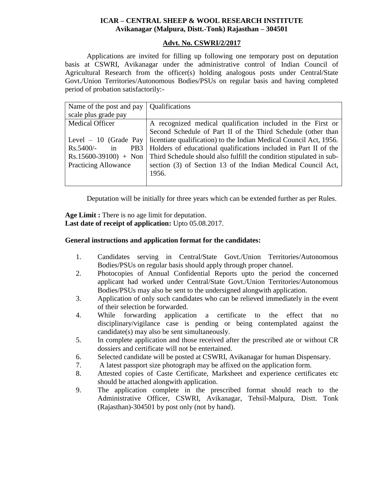# **ICAR – CENTRAL SHEEP & WOOL RESEARCH INSTITUTE Avikanagar (Malpura, Distt.-Tonk) Rajasthan – 304501**

## **Advt. No. CSWRI/2/2017**

Applications are invited for filling up following one temporary post on deputation basis at CSWRI, Avikanagar under the administrative control of Indian Council of Agricultural Research from the officer(s) holding analogous posts under Central/State Govt./Union Territories/Autonomous Bodies/PSUs on regular basis and having completed period of probation satisfactorily:-

| Name of the post and pay             | <b>Qualifications</b>                                               |
|--------------------------------------|---------------------------------------------------------------------|
| scale plus grade pay                 |                                                                     |
| <b>Medical Officer</b>               | A recognized medical qualification included in the First or         |
|                                      | Second Schedule of Part II of the Third Schedule (other than        |
| Level $-10$ (Grade Pay               | licentiate qualification) to the Indian Medical Council Act, 1956.  |
| PB <sub>3</sub><br>$Rs.5400/-$<br>in | Holders of educational qualifications included in Part II of the    |
| $Rs.15600-39100$ + Non               | Third Schedule should also fulfill the condition stipulated in sub- |
| <b>Practicing Allowance</b>          | section (3) of Section 13 of the Indian Medical Council Act,        |
|                                      | 1956.                                                               |
|                                      |                                                                     |

Deputation will be initially for three years which can be extended further as per Rules.

**Age Limit :** There is no age limit for deputation. **Last date of receipt of application:** Upto 05.08.2017.

## **General instructions and application format for the candidates:**

- 1. Candidates serving in Central/State Govt./Union Territories/Autonomous Bodies/PSUs on regular basis should apply through proper channel.
- 2. Photocopies of Annual Confidential Reports upto the period the concerned applicant had worked under Central/State Govt./Union Territories/Autonomous Bodies/PSUs may also be sent to the undersigned alongwith application.
- 3. Application of only such candidates who can be relieved immediately in the event of their selection be forwarded.
- 4. While forwarding application a certificate to the effect that no disciplinary/vigilance case is pending or being contemplated against the candidate(s) may also be sent simultaneously.
- 5. In complete application and those received after the prescribed ate or without CR dossiers and certificate will not be entertained.
- 6. Selected candidate will be posted at CSWRI, Avikanagar for human Dispensary.
- 7. A latest passport size photograph may be affixed on the application form.
- 8. Attested copies of Caste Certificate, Marksheet and experience certificates etc should be attached alongwith application.
- 9. The application complete in the prescribed format should reach to the Administrative Officer, CSWRI, Avikanagar, Tehsil-Malpura, Distt. Tonk (Rajasthan)-304501 by post only (not by hand).